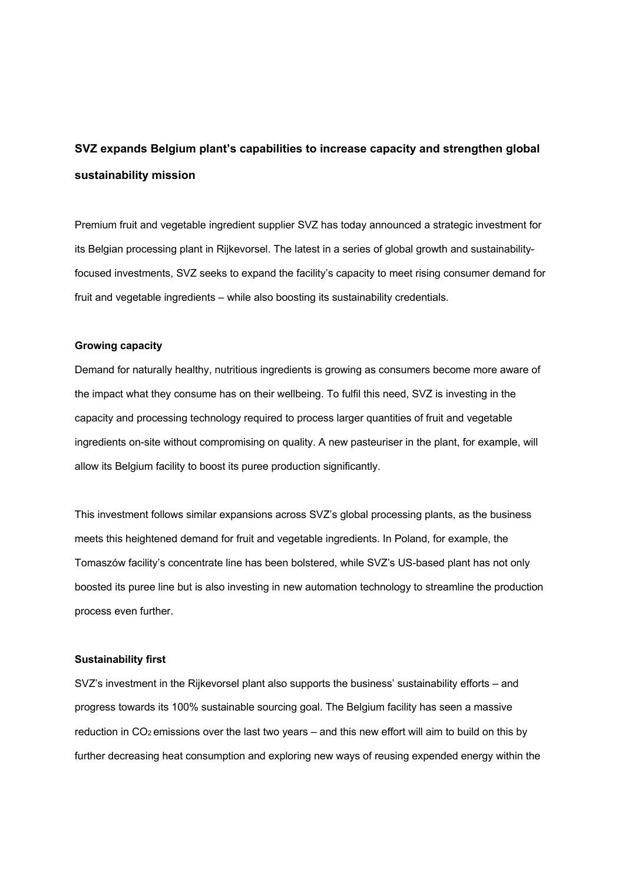# **SVZ expands Belgium plant's capabilities to increase capacity and strengthen global sustainability mission**

Premium fruit and vegetable ingredient supplier SVZ has today announced a strategic investment for its Belgian processing plant in Rijkevorsel. The latest in a series of global growth and sustainabilityfocused investments, SVZ seeks to expand the facility's capacity to meet rising consumer demand for fruit and vegetable ingredients – while also boosting its sustainability credentials.

### **Growing capacity**

Demand for naturally healthy, nutritious ingredients is growing as consumers become more aware of the impact what they consume has on their wellbeing. To fulfil this need, SVZ is investing in the capacity and processing technology required to process larger quantities of fruit and vegetable ingredients on-site without compromising on quality. A new pasteuriser in the plant, for example, will allow its Belgium facility to boost its puree production significantly.

This investment follows similar expansions across SVZ's global processing plants, as the business meets this heightened demand for fruit and vegetable ingredients. In Poland, for example, the Tomaszów facility's concentrate line has been bolstered, while SVZ's US-based plant has not only boosted its puree line but is also investing in new automation technology to streamline the production process even further.

# **Sustainability first**

SVZ's investment in the Rijkevorsel plant also supports the business' sustainability efforts – and progress towards its 100% sustainable sourcing goal. The Belgium facility has seen a massive reduction in  $CO<sub>2</sub>$  emissions over the last two years – and this new effort will aim to build on this by further decreasing heat consumption and exploring new ways of reusing expended energy within the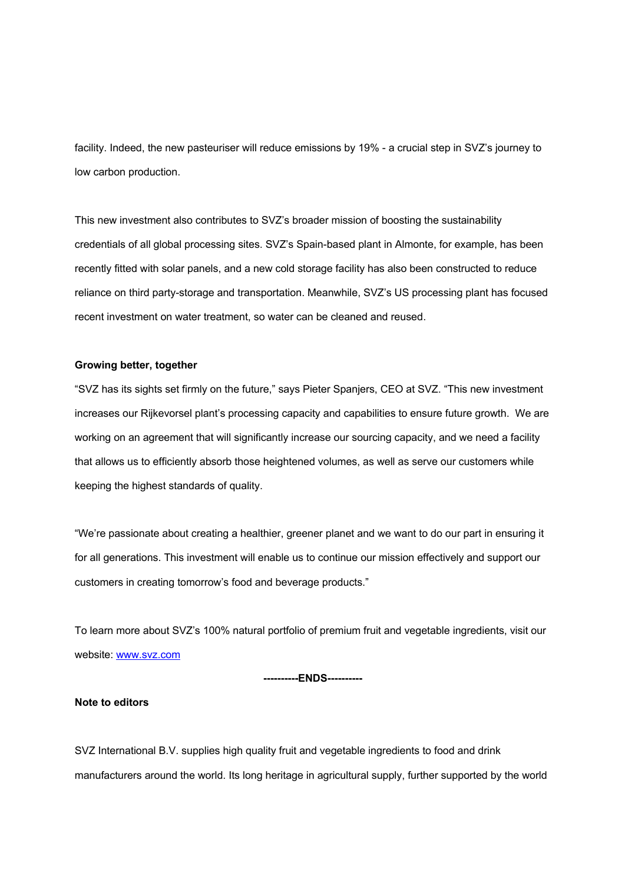facility. Indeed, the new pasteuriser will reduce emissions by 19% - a crucial step in SVZ's journey to low carbon production.

This new investment also contributes to SVZ's broader mission of boosting the sustainability credentials of all global processing sites. SVZ's Spain-based plant in Almonte, for example, has been recently fitted with solar panels, and a new cold storage facility has also been constructed to reduce reliance on third party-storage and transportation. Meanwhile, SVZ's US processing plant has focused recent investment on water treatment, so water can be cleaned and reused.

# **Growing better, together**

"SVZ has its sights set firmly on the future," says Pieter Spanjers, CEO at SVZ. "This new investment increases our Rijkevorsel plant's processing capacity and capabilities to ensure future growth. We are working on an agreement that will significantly increase our sourcing capacity, and we need a facility that allows us to efficiently absorb those heightened volumes, as well as serve our customers while keeping the highest standards of quality.

"We're passionate about creating a healthier, greener planet and we want to do our part in ensuring it for all generations. This investment will enable us to continue our mission effectively and support our customers in creating tomorrow's food and beverage products."

To learn more about SVZ's 100% natural portfolio of premium fruit and vegetable ingredients, visit our website: www.svz.com

#### **----------ENDS----------**

### **Note to editors**

SVZ International B.V. supplies high quality fruit and vegetable ingredients to food and drink manufacturers around the world. Its long heritage in agricultural supply, further supported by the world